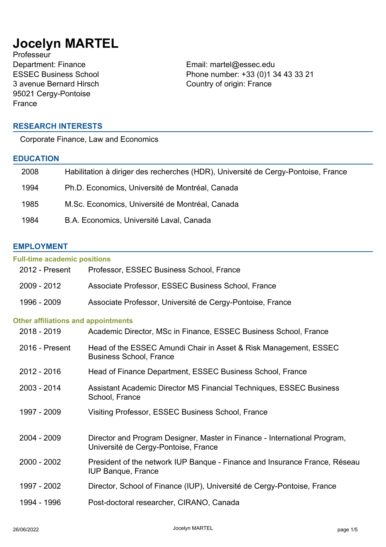# **Jocelyn MARTEL**

Professeur Department: Finance Email: martel@essec.edu ESSEC Business School 3 avenue Bernard Hirsch 95021 Cergy-Pontoise France

Phone number: +33 (0)1 34 43 33 21 Country of origin: France

## **RESEARCH INTERESTS**

Corporate Finance, Law and Economics

| <b>EDUCATION</b> |                                                                                   |
|------------------|-----------------------------------------------------------------------------------|
| 2008             | Habilitation à diriger des recherches (HDR), Université de Cergy-Pontoise, France |
| 1994             | Ph.D. Economics, Université de Montréal, Canada                                   |
| 1985             | M.Sc. Economics, Université de Montréal, Canada                                   |
| 1984             | B.A. Economics, Université Laval, Canada                                          |

# **EMPLOYMENT**

| <b>Full-time academic positions</b>        |                                                                                                                   |
|--------------------------------------------|-------------------------------------------------------------------------------------------------------------------|
| 2012 - Present                             | Professor, ESSEC Business School, France                                                                          |
| 2009 - 2012                                | Associate Professor, ESSEC Business School, France                                                                |
| 1996 - 2009                                | Associate Professor, Université de Cergy-Pontoise, France                                                         |
| <b>Other affiliations and appointments</b> |                                                                                                                   |
| 2018 - 2019                                | Academic Director, MSc in Finance, ESSEC Business School, France                                                  |
| 2016 - Present                             | Head of the ESSEC Amundi Chair in Asset & Risk Management, ESSEC<br><b>Business School, France</b>                |
| 2012 - 2016                                | Head of Finance Department, ESSEC Business School, France                                                         |
| $2003 - 2014$                              | Assistant Academic Director MS Financial Techniques, ESSEC Business<br>School, France                             |
| 1997 - 2009                                | Visiting Professor, ESSEC Business School, France                                                                 |
| $2004 - 2009$                              | Director and Program Designer, Master in Finance - International Program,<br>Université de Cergy-Pontoise, France |
| 2000 - 2002                                | President of the network IUP Banque - Finance and Insurance France, Réseau<br><b>IUP Banque, France</b>           |
| 1997 - 2002                                | Director, School of Finance (IUP), Université de Cergy-Pontoise, France                                           |
| 1994 - 1996                                | Post-doctoral researcher, CIRANO, Canada                                                                          |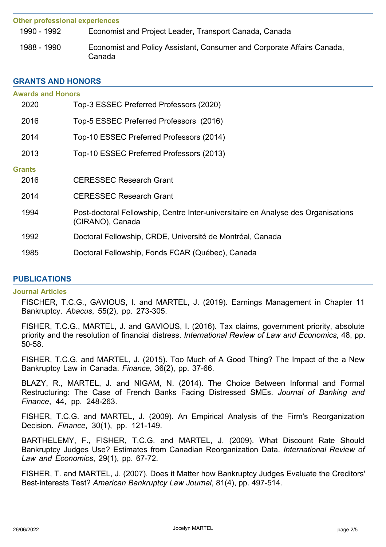| <b>Other professional experiences</b> |                                                                                  |
|---------------------------------------|----------------------------------------------------------------------------------|
| 1990 - 1992                           | Economist and Project Leader, Transport Canada, Canada                           |
| 1988 - 1990                           | Economist and Policy Assistant, Consumer and Corporate Affairs Canada,<br>Canada |

## **GRANTS AND HONORS**

| <b>Awards and Honors</b> |                                                                                                       |
|--------------------------|-------------------------------------------------------------------------------------------------------|
| 2020                     | Top-3 ESSEC Preferred Professors (2020)                                                               |
| 2016                     | Top-5 ESSEC Preferred Professors (2016)                                                               |
| 2014                     | Top-10 ESSEC Preferred Professors (2014)                                                              |
| 2013                     | Top-10 ESSEC Preferred Professors (2013)                                                              |
| <b>Grants</b>            |                                                                                                       |
| 2016                     | <b>CERESSEC Research Grant</b>                                                                        |
| 2014                     | <b>CERESSEC Research Grant</b>                                                                        |
| 1994                     | Post-doctoral Fellowship, Centre Inter-universitaire en Analyse des Organisations<br>(CIRANO), Canada |
| 1992                     | Doctoral Fellowship, CRDE, Université de Montréal, Canada                                             |
| 1985                     | Doctoral Fellowship, Fonds FCAR (Québec), Canada                                                      |

# **PUBLICATIONS**

## **Journal Articles**

FISCHER, T.C.G., GAVIOUS, I. and MARTEL, J. (2019). Earnings Management in Chapter 11 Bankruptcy. *Abacus*, 55(2), pp. 273-305.

FISHER, T.C.G., MARTEL, J. and GAVIOUS, I. (2016). Tax claims, government priority, absolute priority and the resolution of financial distress. *International Review of Law and Economics*, 48, pp. 50-58.

FISHER, T.C.G. and MARTEL, J. (2015). Too Much of A Good Thing? The Impact of the a New Bankruptcy Law in Canada. *Finance*, 36(2), pp. 37-66.

BLAZY, R., MARTEL, J. and NIGAM, N. (2014). The Choice Between Informal and Formal Restructuring: The Case of French Banks Facing Distressed SMEs. *Journal of Banking and Finance*, 44, pp. 248-263.

FISHER, T.C.G. and MARTEL, J. (2009). An Empirical Analysis of the Firm's Reorganization Decision. *Finance*, 30(1), pp. 121-149.

BARTHELEMY, F., FISHER, T.C.G. and MARTEL, J. (2009). What Discount Rate Should Bankruptcy Judges Use? Estimates from Canadian Reorganization Data. *International Review of Law and Economics*, 29(1), pp. 67-72.

FISHER, T. and MARTEL, J. (2007). Does it Matter how Bankruptcy Judges Evaluate the Creditors' Best-interests Test? *American Bankruptcy Law Journal*, 81(4), pp. 497-514.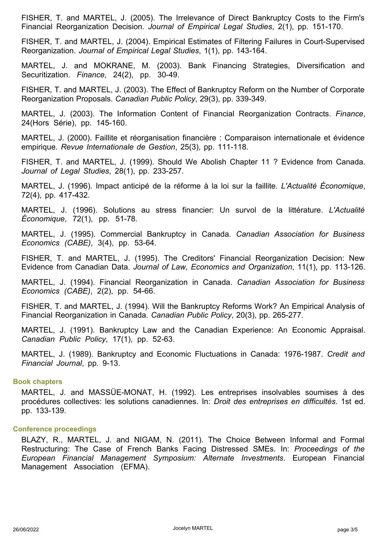FISHER, T. and MARTEL, J. (2005). The Irrelevance of Direct Bankruptcy Costs to the Firm's Financial Reorganization Decision. *Journal of Empirical Legal Studies*, 2(1), pp. 151-170.

FISHER, T. and MARTEL, J. (2004). Empirical Estimates of Filtering Failures in Court-Supervised Reorganization. *Journal of Empirical Legal Studies*, 1(1), pp. 143-164.

MARTEL, J. and MOKRANE, M. (2003). Bank Financing Strategies, Diversification and Securitization. *Finance*, 24(2), pp. 30-49.

FISHER, T. and MARTEL, J. (2003). The Effect of Bankruptcy Reform on the Number of Corporate Reorganization Proposals. *Canadian Public Policy*, 29(3), pp. 339-349.

MARTEL, J. (2003). The Information Content of Financial Reorganization Contracts. *Finance*, 24(Hors Série), pp. 145-160.

MARTEL, J. (2000). Faillite et réorganisation financière : Comparaison internationale et évidence empirique. *Revue Internationale de Gestion*, 25(3), pp. 111-118.

FISHER, T. and MARTEL, J. (1999). Should We Abolish Chapter 11 ? Evidence from Canada. *Journal of Legal Studies*, 28(1), pp. 233-257.

MARTEL, J. (1996). Impact anticipé de la réforme à la loi sur la faillite. *L'Actualité Économique*, 72(4), pp. 417-432.

MARTEL, J. (1996). Solutions au stress financier: Un survol de la littérature. *L'Actualité Économique*, 72(1), pp. 51-78.

MARTEL, J. (1995). Commercial Bankruptcy in Canada. *Canadian Association for Business Economics (CABE)*, 3(4), pp. 53-64.

FISHER, T. and MARTEL, J. (1995). The Creditors' Financial Reorganization Decision: New Evidence from Canadian Data. *Journal of Law, Economics and Organization*, 11(1), pp. 113-126.

MARTEL, J. (1994). Financial Reorganization in Canada. *Canadian Association for Business Economics (CABE)*, 2(2), pp. 54-66.

FISHER, T. and MARTEL, J. (1994). Will the Bankruptcy Reforms Work? An Empirical Analysis of Financial Reorganization in Canada. *Canadian Public Policy*, 20(3), pp. 265-277.

MARTEL, J. (1991). Bankruptcy Law and the Canadian Experience: An Economic Appraisal. *Canadian Public Policy*, 17(1), pp. 52-63.

MARTEL, J. (1989). Bankruptcy and Economic Fluctuations in Canada: 1976-1987. *Credit and Financial Journal*, pp. 9-13.

## **Book chapters**

MARTEL, J. and MASSÜE-MONAT, H. (1992). Les entreprises insolvables soumises à des procédures collectives: les solutions canadiennes. In: *Droit des entreprises en difficultés*. 1st ed. pp. 133-139.

#### **Conference proceedings**

BLAZY, R., MARTEL, J. and NIGAM, N. (2011). The Choice Between Informal and Formal Restructuring: The Case of French Banks Facing Distressed SMEs. In: *Proceedings of the European Financial Management Symposium: Alternate Investments*. European Financial Management Association (EFMA).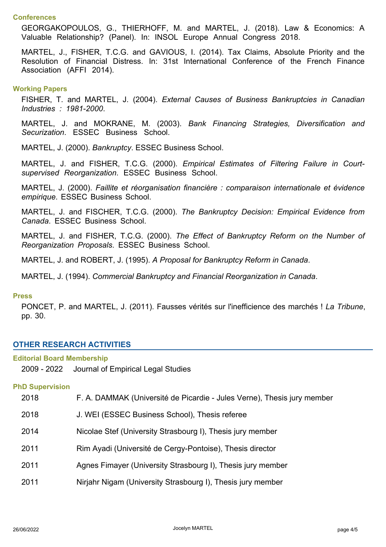### **Conferences**

GEORGAKOPOULOS, G., THIERHOFF, M. and MARTEL, J. (2018). Law & Economics: A Valuable Relationship? (Panel). In: INSOL Europe Annual Congress 2018.

MARTEL, J., FISHER, T.C.G. and GAVIOUS, I. (2014). Tax Claims, Absolute Priority and the Resolution of Financial Distress. In: 31st International Conference of the French Finance Association (AFFI 2014).

#### **Working Papers**

FISHER, T. and MARTEL, J. (2004). *External Causes of Business Bankruptcies in Canadian Industries : 1981-2000*.

MARTEL, J. and MOKRANE, M. (2003). *Bank Financing Strategies, Diversification and Securization*. ESSEC Business School.

MARTEL, J. (2000). *Bankruptcy*. ESSEC Business School.

MARTEL, J. and FISHER, T.C.G. (2000). *Empirical Estimates of Filtering Failure in Courtsupervised Reorganization*. ESSEC Business School.

MARTEL, J. (2000). *Faillite et réorganisation financière : comparaison internationale et évidence empirique*. ESSEC Business School.

MARTEL, J. and FISCHER, T.C.G. (2000). *The Bankruptcy Decision: Empirical Evidence from Canada*. ESSEC Business School.

MARTEL, J. and FISHER, T.C.G. (2000). *The Effect of Bankruptcy Reform on the Number of Reorganization Proposals*. ESSEC Business School.

MARTEL, J. and ROBERT, J. (1995). *A Proposal for Bankruptcy Reform in Canada*.

MARTEL, J. (1994). *Commercial Bankruptcy and Financial Reorganization in Canada*.

### **Press**

PONCET, P. and MARTEL, J. (2011). Fausses vérités sur l'inefficience des marchés ! *La Tribune*, pp. 30.

## **OTHER RESEARCH ACTIVITIES**

#### **Editorial Board Membership**

2009 - 2022 Journal of Empirical Legal Studies

#### **PhD Supervision**

| 2018 | F. A. DAMMAK (Université de Picardie - Jules Verne), Thesis jury member |
|------|-------------------------------------------------------------------------|
| 2018 | J. WEI (ESSEC Business School), Thesis referee                          |
| 2014 | Nicolae Stef (University Strasbourg I), Thesis jury member              |
| 2011 | Rim Ayadi (Université de Cergy-Pontoise), Thesis director               |
| 2011 | Agnes Fimayer (University Strasbourg I), Thesis jury member             |
| 2011 | Nirjahr Nigam (University Strasbourg I), Thesis jury member             |